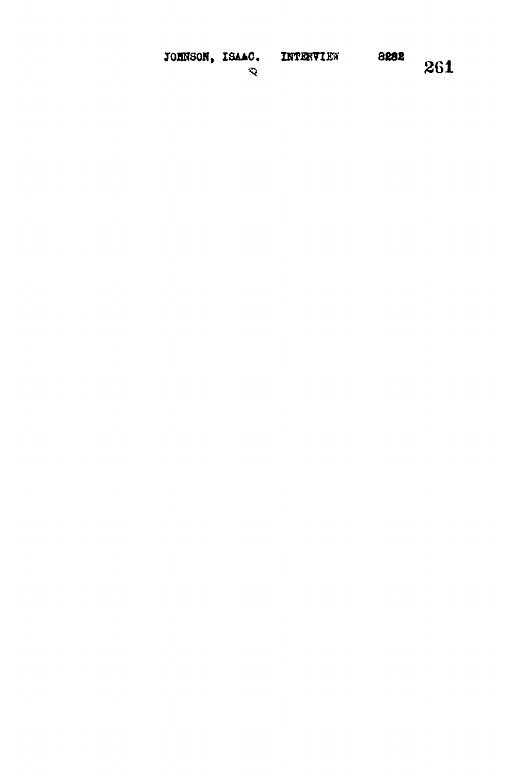| JOHNSON, | ISAAC. |
|----------|--------|
|----------|--------|

261

 $\ddot{\mathbf{Q}}$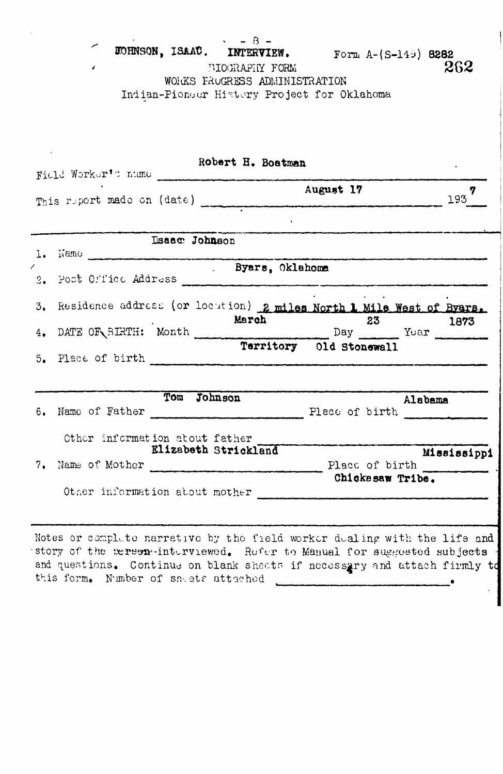**\* - 8 - 30HNSON, ISAAC.** INTERVIEW. Form A-(S-145) 8282<br>BIOGRAPHY FORM 262 BIOGRAPHY FORM WORKS FROGRESS ADMINISTRATION Indian-Pioneer History Project for Oklahoma

| Field Worker's name                                                                                                                                  | Robert H. Boatman    |                         |             |
|------------------------------------------------------------------------------------------------------------------------------------------------------|----------------------|-------------------------|-------------|
|                                                                                                                                                      |                      | August 17               | 7<br>193    |
|                                                                                                                                                      | <b>Esaac Johnson</b> |                         |             |
|                                                                                                                                                      |                      |                         |             |
| 2. Post Orric Address                                                                                                                                | . Byars, Oklahoma    |                         |             |
| 3. Residence address (or locution) 2 miles North 1 Mile West of Byars.                                                                               |                      |                         |             |
| 4. DATE OF SIRTH: Month March 23 Year 1873                                                                                                           |                      |                         |             |
|                                                                                                                                                      |                      | Territory 01d Stonewall |             |
| 6. Name of Father Place of birth Place of birth                                                                                                      | Tom Johnson          | Alabama                 |             |
| Other information about father                                                                                                                       | Elizabeth Strickland |                         | Mississippi |
| 7. Name of Mother Place of birth Place of birth                                                                                                      |                      | Chickssaw Tribe.        |             |
| Other information about mother                                                                                                                       |                      |                         |             |
| Notes or complete narrative by the field worker dealing with the life and<br>story of the merson-interviewed. Refer to Manual for suggested subjects |                      |                         |             |

and questions. Continue on blank shects if necessary and attach firmly to this form, bomber of sn-.ets<sup>1</sup> attached .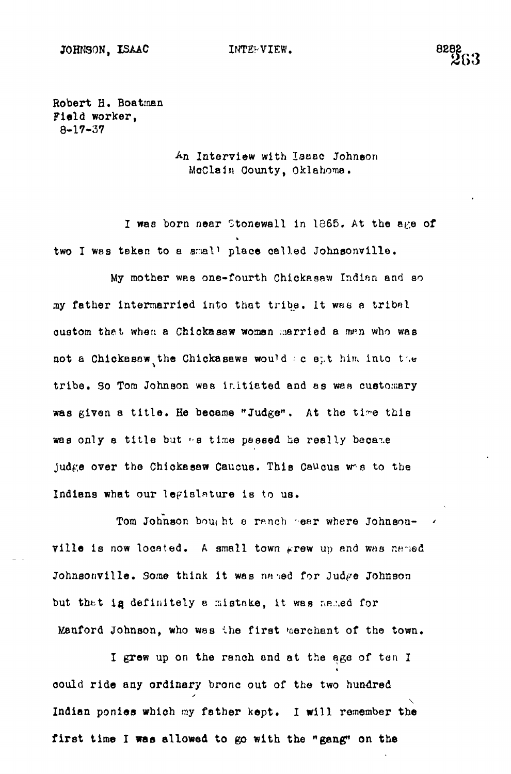Robert H. Boatman Field worker, 8-17-37

> Interview with Isaac Johnson MoClaJn County, Oklahoma.

I was born near Stonewall in 1865. At the age of two I was taken to a small place called Johnsonville.

My mother was one-fourth Chickasaw Indian and so my father intermarried into that tribe. It was a tribal qustom thet when a Chickasaw woman married a man who was not a Chickasaw the Chickasawe would ac ept him into the tribe. So Tom Johnson was initiated and as was customary was given a title. He became "Judge". At the time this was only a title but "s time passed he really became judge over the Chickasaw Caucus. This Caucus wes to the Indians what our legislature is to us.

Tom Johnson bought a ranch sear where Johnsonville is now located. A small town  $\kappa$ rew up and was named Johnsonville. Some think it was named for Judge Johnson but that is definitely a mistake, it was named for Manford Johnson, who was the first werehant of the town.

I grew up on the ranch and at the age of ten I could ride any ordinary bronc out of the two hundred **\** first time I was allowed to go with the "gang" on the

**first time I was allowed to go with the "gang" on the**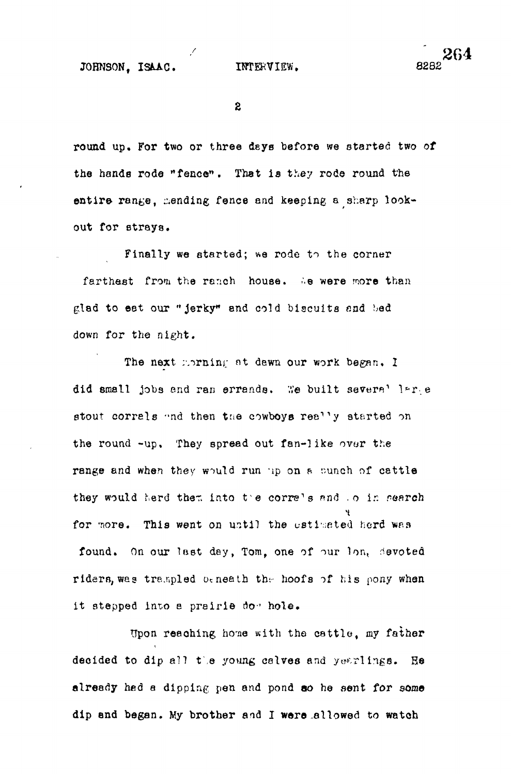JOHNSON. ISAAC. INTERVIEW. 8282

 $\mathbf{2}$ 

round up. For two or three deys before we started two of the hands rode "fence". That is they rode round the entire range, mending fence and keeping a sharp lookout for strays.

Finally we started; we rode to the corner farthest from the ranch house. We were more than glad to eat our "jerky" and cold biscuits and had down for the night.

The next morning at dewn our work began. I did small jobs end ran errands. We built severa' lare stout corrals and then the cowboys really started on the round -up. They spread out fan-like ovor the range and when they would run up on a sunch of cattle they would herd them into the corre's and .o in search for more. This went on until the estimated herd was found. On our last day, Tom, one of our lon, devoted riders, was trempled beneath the hoofs of his pony when it stepped into a prairie do-' hole.

Upon reaching home with the cattle, my father decided to dip all the young calves and yearlings. He already hed a dipping pen and pond so he sent for some dip end began. My brother and I ware .allowed to watch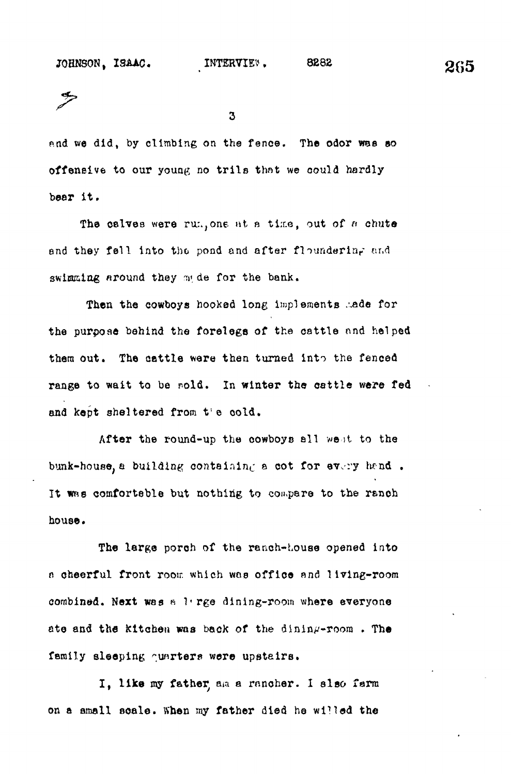3

p.nd we did, by climbing on the fence. The odor wee eo offensive to our young no trils that we oould hardly bear it .

The calves were rum, one at a time, out of  $\kappa$  chute and they fell into the pond and after floundering and swimming around they mide for the bank.

Then the cowboys hooked long implements .ade for the purpose behind the forelegs of the cattle and helped them out. The cattle were then turned into the fenced range to wait to be nold. In winter the cattle were fed and kept sheltered from t'e cold.

After the round-up the cowboys all went to the bunk-house, a building containing a cot for every hend. It was comfortable but nothing to compare to the ranch house.

The large porch of the ranch-Louse opened into a cheerful front room which was office and living-room combined. Next was a 1'rge dining-room where everyone ate and the kitchen was back of the dining-room. The family sleeping ounrters were upstairs.

I, like my father aa a rancher. I also farm on a small scale. When my father died he willed the